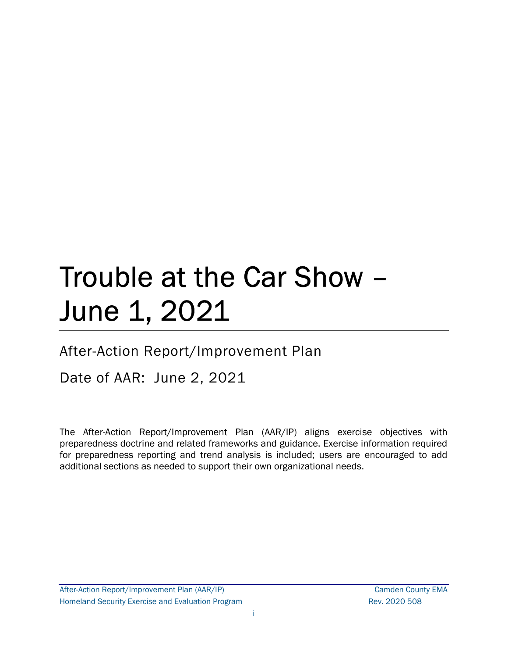# Trouble at the Car Show – June 1, 2021

# After-Action Report/Improvement Plan

# Date of AAR: June 2, 2021

The After-Action Report/Improvement Plan (AAR/IP) aligns exercise objectives with preparedness doctrine and related frameworks and guidance. Exercise information required for preparedness reporting and trend analysis is included; users are encouraged to add additional sections as needed to support their own organizational needs.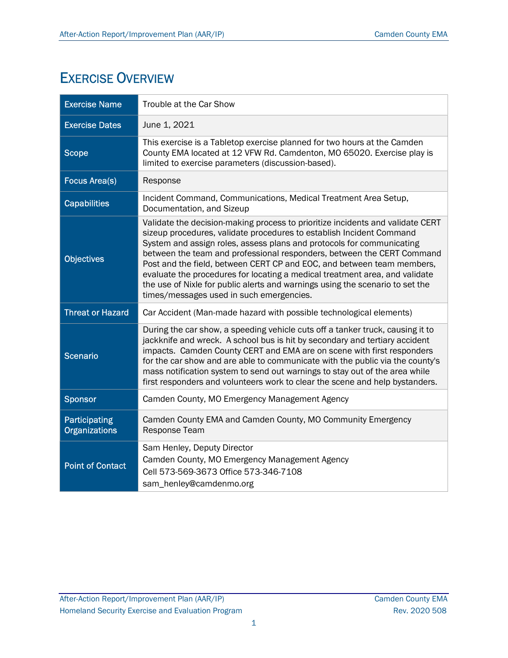# EXERCISE OVERVIEW

| <b>Exercise Name</b>                  | Trouble at the Car Show                                                                                                                                                                                                                                                                                                                                                                                                                                                                                                                                                                         |
|---------------------------------------|-------------------------------------------------------------------------------------------------------------------------------------------------------------------------------------------------------------------------------------------------------------------------------------------------------------------------------------------------------------------------------------------------------------------------------------------------------------------------------------------------------------------------------------------------------------------------------------------------|
| <b>Exercise Dates</b>                 | June 1, 2021                                                                                                                                                                                                                                                                                                                                                                                                                                                                                                                                                                                    |
| <b>Scope</b>                          | This exercise is a Tabletop exercise planned for two hours at the Camden<br>County EMA located at 12 VFW Rd. Camdenton, MO 65020. Exercise play is<br>limited to exercise parameters (discussion-based).                                                                                                                                                                                                                                                                                                                                                                                        |
| <b>Focus Area(s)</b>                  | Response                                                                                                                                                                                                                                                                                                                                                                                                                                                                                                                                                                                        |
| <b>Capabilities</b>                   | Incident Command, Communications, Medical Treatment Area Setup,<br>Documentation, and Sizeup                                                                                                                                                                                                                                                                                                                                                                                                                                                                                                    |
| <b>Objectives</b>                     | Validate the decision-making process to prioritize incidents and validate CERT<br>sizeup procedures, validate procedures to establish Incident Command<br>System and assign roles, assess plans and protocols for communicating<br>between the team and professional responders, between the CERT Command<br>Post and the field, between CERT CP and EOC, and between team members,<br>evaluate the procedures for locating a medical treatment area, and validate<br>the use of Nixle for public alerts and warnings using the scenario to set the<br>times/messages used in such emergencies. |
| <b>Threat or Hazard</b>               | Car Accident (Man-made hazard with possible technological elements)                                                                                                                                                                                                                                                                                                                                                                                                                                                                                                                             |
| <b>Scenario</b>                       | During the car show, a speeding vehicle cuts off a tanker truck, causing it to<br>jackknife and wreck. A school bus is hit by secondary and tertiary accident<br>impacts. Camden County CERT and EMA are on scene with first responders<br>for the car show and are able to communicate with the public via the county's<br>mass notification system to send out warnings to stay out of the area while<br>first responders and volunteers work to clear the scene and help bystanders.                                                                                                         |
| <b>Sponsor</b>                        | Camden County, MO Emergency Management Agency                                                                                                                                                                                                                                                                                                                                                                                                                                                                                                                                                   |
| Participating<br><b>Organizations</b> | Camden County EMA and Camden County, MO Community Emergency<br>Response Team                                                                                                                                                                                                                                                                                                                                                                                                                                                                                                                    |
| <b>Point of Contact</b>               | Sam Henley, Deputy Director<br>Camden County, MO Emergency Management Agency<br>Cell 573-569-3673 Office 573-346-7108<br>sam_henley@camdenmo.org                                                                                                                                                                                                                                                                                                                                                                                                                                                |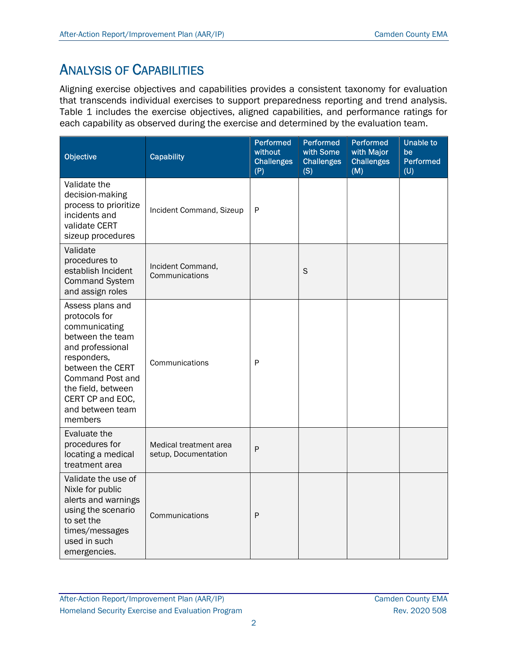# ANALYSIS OF CAPABILITIES

Aligning exercise objectives and capabilities provides a consistent taxonomy for evaluation that transcends individual exercises to support preparedness reporting and trend analysis. Table 1 includes the exercise objectives, aligned capabilities, and performance ratings for each capability as observed during the exercise and determined by the evaluation team.

| Objective                                                                                                                                                                                                                         | <b>Capability</b>                              | <b>Performed</b><br>without<br><b>Challenges</b><br>(P) | Performed<br>with Some<br><b>Challenges</b><br>(S) | Performed<br>with Major<br><b>Challenges</b><br>(M) | <b>Unable to</b><br>be<br>Performed<br>(U) |
|-----------------------------------------------------------------------------------------------------------------------------------------------------------------------------------------------------------------------------------|------------------------------------------------|---------------------------------------------------------|----------------------------------------------------|-----------------------------------------------------|--------------------------------------------|
| Validate the<br>decision-making<br>process to prioritize<br>incidents and<br>validate CERT<br>sizeup procedures                                                                                                                   | Incident Command, Sizeup                       | P                                                       |                                                    |                                                     |                                            |
| Validate<br>procedures to<br>establish Incident<br><b>Command System</b><br>and assign roles                                                                                                                                      | Incident Command,<br>Communications            |                                                         | S                                                  |                                                     |                                            |
| Assess plans and<br>protocols for<br>communicating<br>between the team<br>and professional<br>responders,<br>between the CERT<br><b>Command Post and</b><br>the field, between<br>CERT CP and EOC,<br>and between team<br>members | Communications                                 | P                                                       |                                                    |                                                     |                                            |
| Evaluate the<br>procedures for<br>locating a medical<br>treatment area                                                                                                                                                            | Medical treatment area<br>setup, Documentation | $\mathsf{P}$                                            |                                                    |                                                     |                                            |
| Validate the use of<br>Nixle for public<br>alerts and warnings<br>using the scenario<br>to set the<br>times/messages<br>used in such<br>emergencies.                                                                              | Communications                                 | $\mathsf{P}$                                            |                                                    |                                                     |                                            |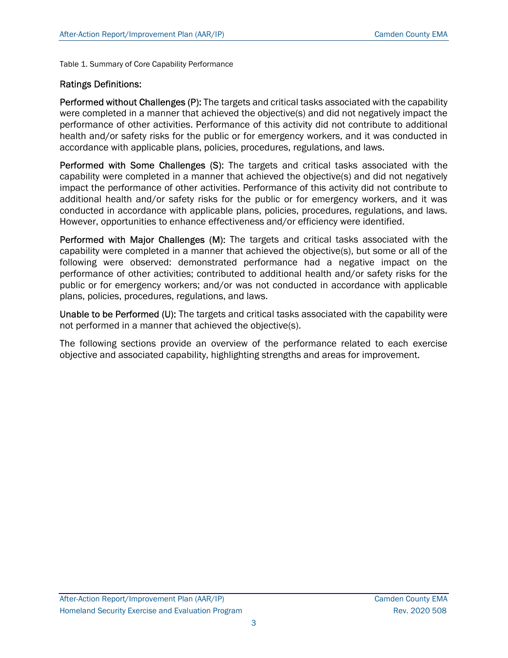Table 1. Summary of Core Capability Performance

#### Ratings Definitions:

Performed without Challenges (P): The targets and critical tasks associated with the capability were completed in a manner that achieved the objective(s) and did not negatively impact the performance of other activities. Performance of this activity did not contribute to additional health and/or safety risks for the public or for emergency workers, and it was conducted in accordance with applicable plans, policies, procedures, regulations, and laws.

Performed with Some Challenges (S): The targets and critical tasks associated with the capability were completed in a manner that achieved the objective(s) and did not negatively impact the performance of other activities. Performance of this activity did not contribute to additional health and/or safety risks for the public or for emergency workers, and it was conducted in accordance with applicable plans, policies, procedures, regulations, and laws. However, opportunities to enhance effectiveness and/or efficiency were identified.

Performed with Major Challenges (M): The targets and critical tasks associated with the capability were completed in a manner that achieved the objective(s), but some or all of the following were observed: demonstrated performance had a negative impact on the performance of other activities; contributed to additional health and/or safety risks for the public or for emergency workers; and/or was not conducted in accordance with applicable plans, policies, procedures, regulations, and laws.

Unable to be Performed (U): The targets and critical tasks associated with the capability were not performed in a manner that achieved the objective(s).

The following sections provide an overview of the performance related to each exercise objective and associated capability, highlighting strengths and areas for improvement.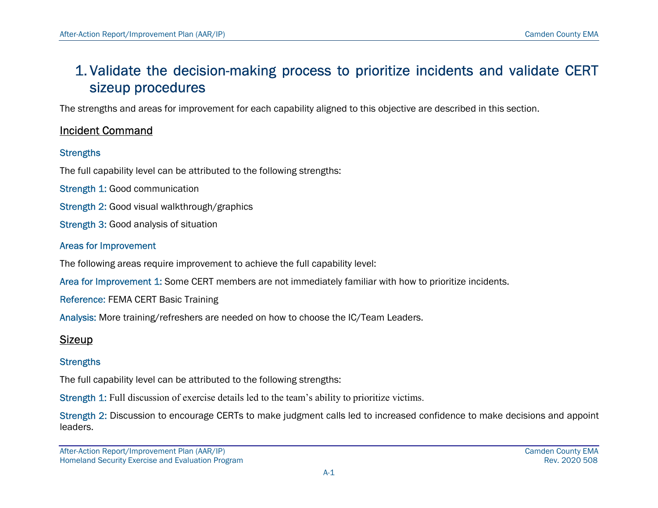# 1. Validate the decision-making process to prioritize incidents and validate CERT sizeup procedures

The strengths and areas for improvement for each capability aligned to this objective are described in this section.

### Incident Command

#### **Strengths**

The full capability level can be attributed to the following strengths:

- Strength 1: Good communication
- Strength 2: Good visual walkthrough/graphics
- Strength 3: Good analysis of situation

#### Areas for Improvement

The following areas require improvement to achieve the full capability level:

Area for Improvement 1: Some CERT members are not immediately familiar with how to prioritize incidents.

Reference: FEMA CERT Basic Training

Analysis: More training/refreshers are needed on how to choose the IC/Team Leaders.

### **Sizeup**

### **Strengths**

The full capability level can be attributed to the following strengths:

Strength 1: Full discussion of exercise details led to the team's ability to prioritize victims.

Strength 2: Discussion to encourage CERTs to make judgment calls led to increased confidence to make decisions and appoint leaders.

After-Action Report/Improvement Plan (AAR/IP) Camden County EMA Homeland Security Exercise and Evaluation Program **Rev. 2020 508** and Evaluation Program Rev. 2020 508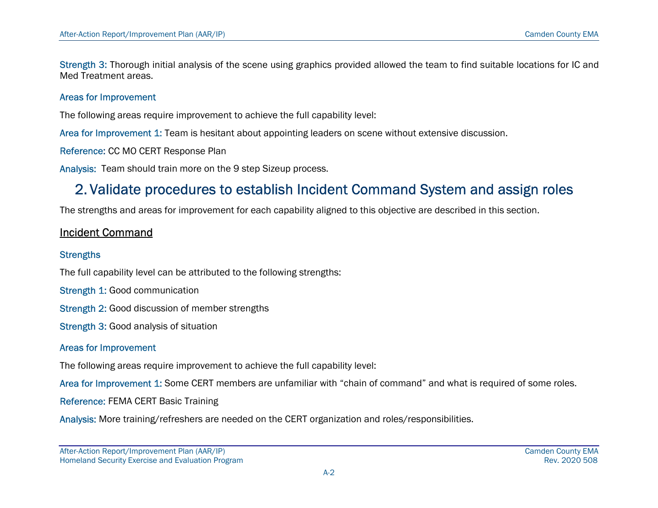Strength 3: Thorough initial analysis of the scene using graphics provided allowed the team to find suitable locations for IC and Med Treatment areas.

#### Areas for Improvement

The following areas require improvement to achieve the full capability level:

Area for Improvement 1: Team is hesitant about appointing leaders on scene without extensive discussion.

Reference: CC MO CERT Response Plan

Analysis: Team should train more on the 9 step Sizeup process.

## 2. Validate procedures to establish Incident Command System and assign roles

The strengths and areas for improvement for each capability aligned to this objective are described in this section.

### Incident Command

#### **Strengths**

The full capability level can be attributed to the following strengths:

- Strength 1: Good communication
- Strength 2: Good discussion of member strengths
- Strength 3: Good analysis of situation

#### Areas for Improvement

The following areas require improvement to achieve the full capability level:

Area for Improvement 1: Some CERT members are unfamiliar with "chain of command" and what is required of some roles.

Reference: FEMA CERT Basic Training

Analysis: More training/refreshers are needed on the CERT organization and roles/responsibilities.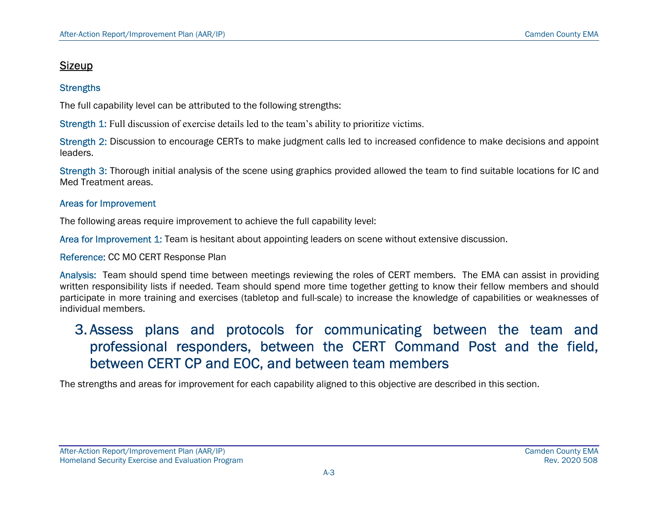### Sizeup

#### **Strengths**

The full capability level can be attributed to the following strengths:

Strength 1: Full discussion of exercise details led to the team's ability to prioritize victims.

Strength 2: Discussion to encourage CERTs to make judgment calls led to increased confidence to make decisions and appoint leaders.

Strength 3: Thorough initial analysis of the scene using graphics provided allowed the team to find suitable locations for IC and Med Treatment areas.

#### Areas for Improvement

The following areas require improvement to achieve the full capability level:

Area for Improvement 1: Team is hesitant about appointing leaders on scene without extensive discussion.

Reference: CC MO CERT Response Plan

Analysis: Team should spend time between meetings reviewing the roles of CERT members. The EMA can assist in providing written responsibility lists if needed. Team should spend more time together getting to know their fellow members and should participate in more training and exercises (tabletop and full-scale) to increase the knowledge of capabilities or weaknesses of individual members.

# 3. Assess plans and protocols for communicating between the team and professional responders, between the CERT Command Post and the field, between CERT CP and EOC, and between team members

The strengths and areas for improvement for each capability aligned to this objective are described in this section.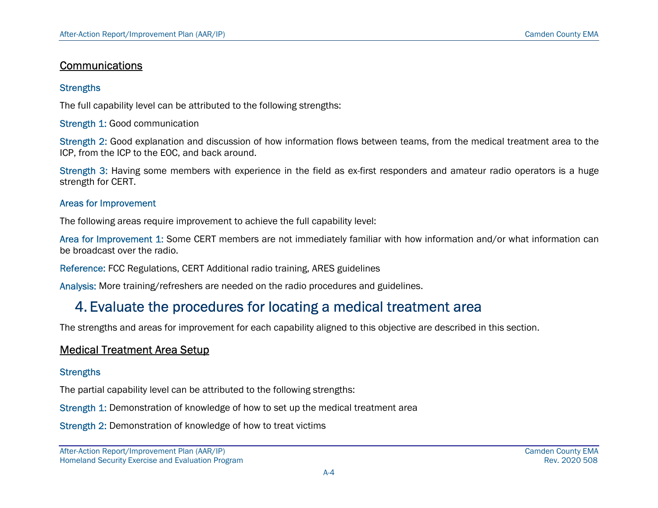### **Communications**

#### **Strengths**

The full capability level can be attributed to the following strengths:

Strength 1: Good communication

Strength 2: Good explanation and discussion of how information flows between teams, from the medical treatment area to the ICP, from the ICP to the EOC, and back around.

Strength 3: Having some members with experience in the field as ex-first responders and amateur radio operators is a huge strength for CERT.

#### Areas for Improvement

The following areas require improvement to achieve the full capability level:

Area for Improvement 1: Some CERT members are not immediately familiar with how information and/or what information can be broadcast over the radio.

Reference: FCC Regulations, CERT Additional radio training, ARES guidelines

Analysis: More training/refreshers are needed on the radio procedures and guidelines.

# 4. Evaluate the procedures for locating a medical treatment area

The strengths and areas for improvement for each capability aligned to this objective are described in this section.

### Medical Treatment Area Setup

#### **Strengths**

The partial capability level can be attributed to the following strengths:

Strength 1: Demonstration of knowledge of how to set up the medical treatment area

Strength 2: Demonstration of knowledge of how to treat victims

After-Action Report/Improvement Plan (AAR/IP) Camden County EMA Homeland Security Exercise and Evaluation Program **Rev. 2020 508** and Evaluation Program Rev. 2020 508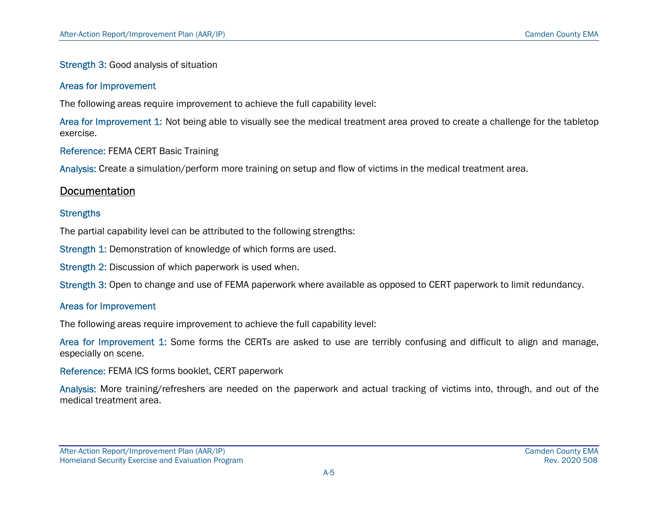#### Strength 3: Good analysis of situation

#### Areas for Improvement

The following areas require improvement to achieve the full capability level:

Area for Improvement 1: Not being able to visually see the medical treatment area proved to create a challenge for the tabletop exercise.

Reference: FEMA CERT Basic Training

Analysis: Create a simulation/perform more training on setup and flow of victims in the medical treatment area.

#### **Documentation**

#### **Strengths**

The partial capability level can be attributed to the following strengths:

Strength 1: Demonstration of knowledge of which forms are used.

Strength 2: Discussion of which paperwork is used when.

Strength 3: Open to change and use of FEMA paperwork where available as opposed to CERT paperwork to limit redundancy.

#### Areas for Improvement

The following areas require improvement to achieve the full capability level:

Area for Improvement 1: Some forms the CERTs are asked to use are terribly confusing and difficult to align and manage, especially on scene.

Reference: FEMA ICS forms booklet, CERT paperwork

Analysis: More training/refreshers are needed on the paperwork and actual tracking of victims into, through, and out of the medical treatment area.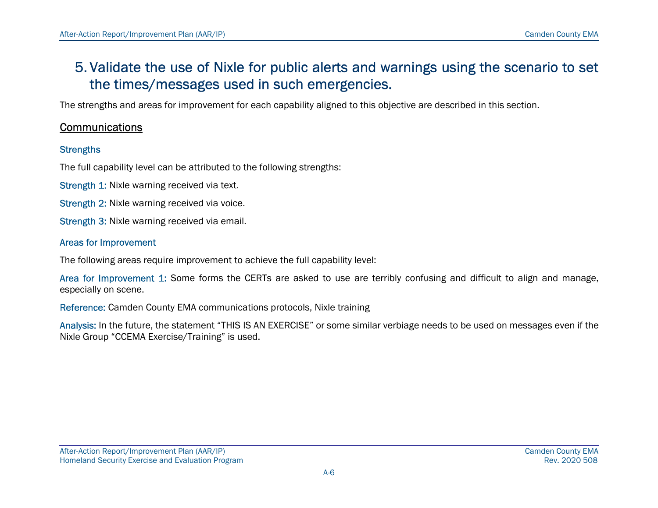## 5. Validate the use of Nixle for public alerts and warnings using the scenario to set the times/messages used in such emergencies.

The strengths and areas for improvement for each capability aligned to this objective are described in this section.

### **Communications**

#### **Strengths**

The full capability level can be attributed to the following strengths:

Strength 1: Nixle warning received via text.

Strength 2: Nixle warning received via voice.

Strength 3: Nixle warning received via email.

#### Areas for Improvement

The following areas require improvement to achieve the full capability level:

Area for Improvement 1: Some forms the CERTs are asked to use are terribly confusing and difficult to align and manage, especially on scene.

Reference: Camden County EMA communications protocols, Nixle training

Analysis: In the future, the statement "THIS IS AN EXERCISE" or some similar verbiage needs to be used on messages even if the Nixle Group "CCEMA Exercise/Training" is used.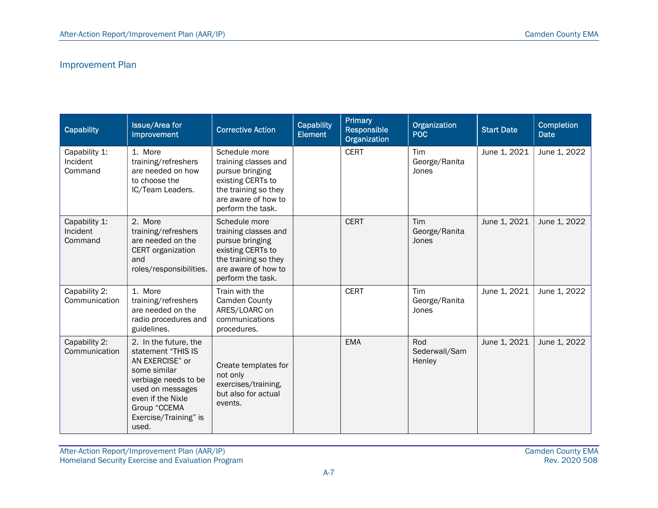### Improvement Plan

| Capability                           | <b>Issue/Area for</b><br>Improvement                                                                                                                                                              | <b>Corrective Action</b>                                                                                                                          | Capability<br><b>Element</b> | Primary<br><b>Responsible</b><br>Organization | Organization<br><b>POC</b>     | <b>Start Date</b> | <b>Completion</b><br><b>Date</b> |
|--------------------------------------|---------------------------------------------------------------------------------------------------------------------------------------------------------------------------------------------------|---------------------------------------------------------------------------------------------------------------------------------------------------|------------------------------|-----------------------------------------------|--------------------------------|-------------------|----------------------------------|
| Capability 1:<br>Incident<br>Command | 1. More<br>training/refreshers<br>are needed on how<br>to choose the<br>IC/Team Leaders.                                                                                                          | Schedule more<br>training classes and<br>pursue bringing<br>existing CERTs to<br>the training so they<br>are aware of how to<br>perform the task. |                              | <b>CERT</b>                                   | Tim<br>George/Ranita<br>Jones  | June 1, 2021      | June 1, 2022                     |
| Capability 1:<br>Incident<br>Command | 2. More<br>training/refreshers<br>are needed on the<br>CERT organization<br>and<br>roles/responsibilities.                                                                                        | Schedule more<br>training classes and<br>pursue bringing<br>existing CERTs to<br>the training so they<br>are aware of how to<br>perform the task. |                              | <b>CERT</b>                                   | Tim<br>George/Ranita<br>Jones  | June 1, 2021      | June 1, 2022                     |
| Capability 2:<br>Communication       | 1. More<br>training/refreshers<br>are needed on the<br>radio procedures and<br>guidelines.                                                                                                        | Train with the<br>Camden County<br>ARES/LOARC on<br>communications<br>procedures.                                                                 |                              | <b>CERT</b>                                   | Tim<br>George/Ranita<br>Jones  | June 1, 2021      | June 1, 2022                     |
| Capability 2:<br>Communication       | 2. In the future, the<br>statement "THIS IS<br>AN EXERCISE" or<br>some similar<br>verbiage needs to be<br>used on messages<br>even if the Nixle<br>Group "CCEMA<br>Exercise/Training" is<br>used. | Create templates for<br>not only<br>exercises/training,<br>but also for actual<br>events.                                                         |                              | <b>EMA</b>                                    | Rod<br>Sederwall/Sam<br>Henley | June 1, 2021      | June 1, 2022                     |

After-Action Report/Improvement Plan (AAR/IP) Camden County EMA Homeland Security Exercise and Evaluation Program Rev. 2020 508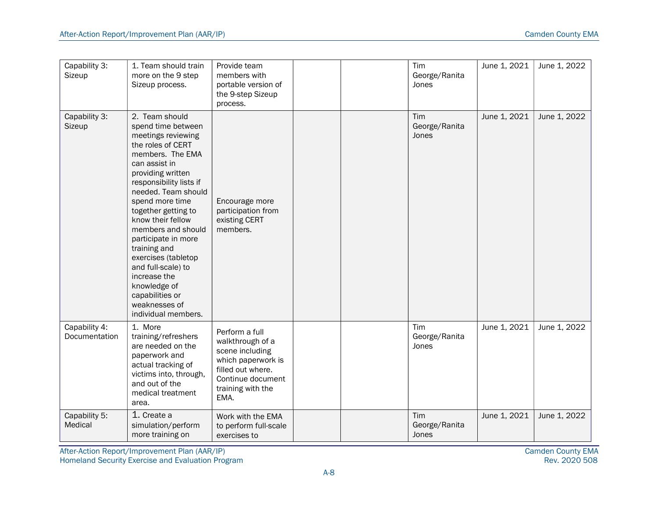| Capability 3:<br>Sizeup        | 1. Team should train<br>more on the 9 step<br>Sizeup process.                                                                                                                                                                                                                                                                                                                                                                                                   | Provide team<br>members with<br>portable version of<br>the 9-step Sizeup<br>process.                                                               |  | Tim<br>George/Ranita<br>Jones | June 1, 2021 | June 1, 2022 |
|--------------------------------|-----------------------------------------------------------------------------------------------------------------------------------------------------------------------------------------------------------------------------------------------------------------------------------------------------------------------------------------------------------------------------------------------------------------------------------------------------------------|----------------------------------------------------------------------------------------------------------------------------------------------------|--|-------------------------------|--------------|--------------|
| Capability 3:<br>Sizeup        | 2. Team should<br>spend time between<br>meetings reviewing<br>the roles of CERT<br>members. The EMA<br>can assist in<br>providing written<br>responsibility lists if<br>needed. Team should<br>spend more time<br>together getting to<br>know their fellow<br>members and should<br>participate in more<br>training and<br>exercises (tabletop<br>and full-scale) to<br>increase the<br>knowledge of<br>capabilities or<br>weaknesses of<br>individual members. | Encourage more<br>participation from<br>existing CERT<br>members.                                                                                  |  | Tim<br>George/Ranita<br>Jones | June 1, 2021 | June 1, 2022 |
| Capability 4:<br>Documentation | 1. More<br>training/refreshers<br>are needed on the<br>paperwork and<br>actual tracking of<br>victims into, through,<br>and out of the<br>medical treatment<br>area.                                                                                                                                                                                                                                                                                            | Perform a full<br>walkthrough of a<br>scene including<br>which paperwork is<br>filled out where.<br>Continue document<br>training with the<br>EMA. |  | Tim<br>George/Ranita<br>Jones | June 1, 2021 | June 1, 2022 |
| Capability 5:<br>Medical       | 1. Create a<br>simulation/perform<br>more training on                                                                                                                                                                                                                                                                                                                                                                                                           | Work with the EMA<br>to perform full-scale<br>exercises to                                                                                         |  | Tim<br>George/Ranita<br>Jones | June 1, 2021 | June 1, 2022 |

After-Action Report/Improvement Plan (AAR/IP) Camden County EMA Homeland Security Exercise and Evaluation Program Rev. 2020 508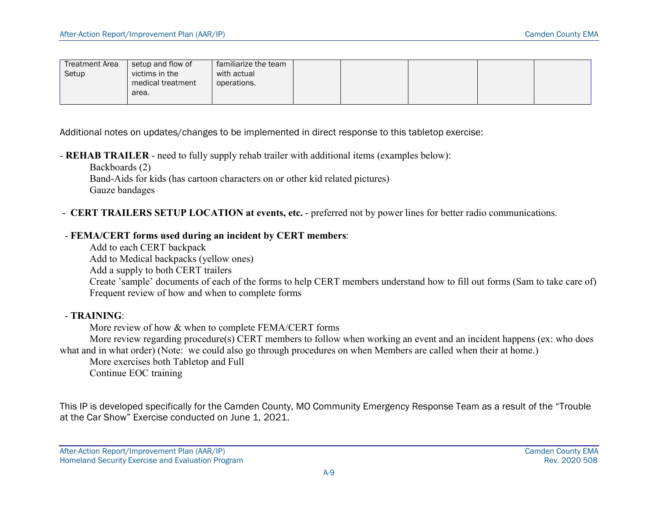| <b>Treatment Area</b> | setup and flow of | familiarize the team |  |  |  |
|-----------------------|-------------------|----------------------|--|--|--|
| Setup                 | victims in the    | with actual          |  |  |  |
|                       | medical treatment | operations.          |  |  |  |
|                       | area.             |                      |  |  |  |
|                       |                   |                      |  |  |  |

Additional notes on updates/changes to be implemented in direct response to this tabletop exercise:

- REHAB TRAILER - need to fully supply rehab trailer with additional items (examples below):

 Backboards (2) Band-Aids for kids (has cartoon characters on or other kid related pictures) Gauze bandages

#### - CERT TRAILERS SETUP LOCATION at events, etc. - preferred not by power lines for better radio communications.

#### - FEMA/CERT forms used during an incident by CERT members:

 Add to each CERT backpack Add to Medical backpacks (yellow ones) Add a supply to both CERT trailers Create 'sample' documents of each of the forms to help CERT members understand how to fill out forms (Sam to take care of) Frequent review of how and when to complete forms

#### - TRAINING:

More review of how & when to complete FEMA/CERT forms

 More review regarding procedure(s) CERT members to follow when working an event and an incident happens (ex: who does what and in what order) (Note: we could also go through procedures on when Members are called when their at home.)

 More exercises both Tabletop and Full Continue EOC training

This IP is developed specifically for the Camden County, MO Community Emergency Response Team as a result of the "Trouble at the Car Show" Exercise conducted on June 1, 2021.

After-Action Report/Improvement Plan (AAR/IP) Camden County EMA Homeland Security Exercise and Evaluation Program **Rev. 2020 508** and Evaluation Program Rev. 2020 508